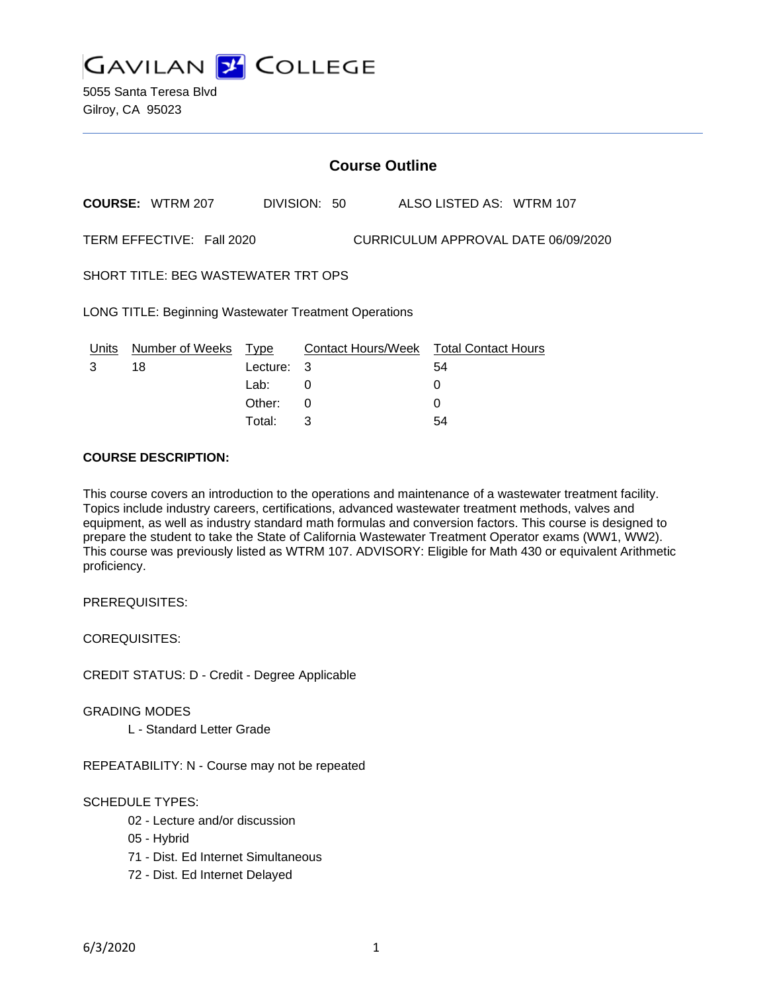**GAVILAN Z COLLEGE** 

5055 Santa Teresa Blvd Gilroy, CA 95023

|                                                                  | <b>Course Outline</b>   |            |                                        |                          |  |  |  |  |
|------------------------------------------------------------------|-------------------------|------------|----------------------------------------|--------------------------|--|--|--|--|
|                                                                  | <b>COURSE:</b> WTRM 207 |            | DIVISION: 50                           | ALSO LISTED AS: WTRM 107 |  |  |  |  |
| TERM EFFECTIVE: Fall 2020<br>CURRICULUM APPROVAL DATE 06/09/2020 |                         |            |                                        |                          |  |  |  |  |
| SHORT TITLE: BEG WASTEWATER TRT OPS                              |                         |            |                                        |                          |  |  |  |  |
| <b>LONG TITLE: Beginning Wastewater Treatment Operations</b>     |                         |            |                                        |                          |  |  |  |  |
| Units                                                            | Number of Weeks Type    |            | Contact Hours/Week Total Contact Hours |                          |  |  |  |  |
| 3                                                                | 18                      | Lecture: 3 |                                        | 54                       |  |  |  |  |
|                                                                  |                         | Lab:       | 0                                      | 0                        |  |  |  |  |
|                                                                  |                         | Other:     | 0                                      | 0                        |  |  |  |  |
|                                                                  |                         | Total:     | 3                                      | 54                       |  |  |  |  |

### **COURSE DESCRIPTION:**

This course covers an introduction to the operations and maintenance of a wastewater treatment facility. Topics include industry careers, certifications, advanced wastewater treatment methods, valves and equipment, as well as industry standard math formulas and conversion factors. This course is designed to prepare the student to take the State of California Wastewater Treatment Operator exams (WW1, WW2). This course was previously listed as WTRM 107. ADVISORY: Eligible for Math 430 or equivalent Arithmetic proficiency.

PREREQUISITES:

COREQUISITES:

CREDIT STATUS: D - Credit - Degree Applicable

GRADING MODES

L - Standard Letter Grade

REPEATABILITY: N - Course may not be repeated

# SCHEDULE TYPES:

- 02 Lecture and/or discussion
- 05 Hybrid
- 71 Dist. Ed Internet Simultaneous
- 72 Dist. Ed Internet Delayed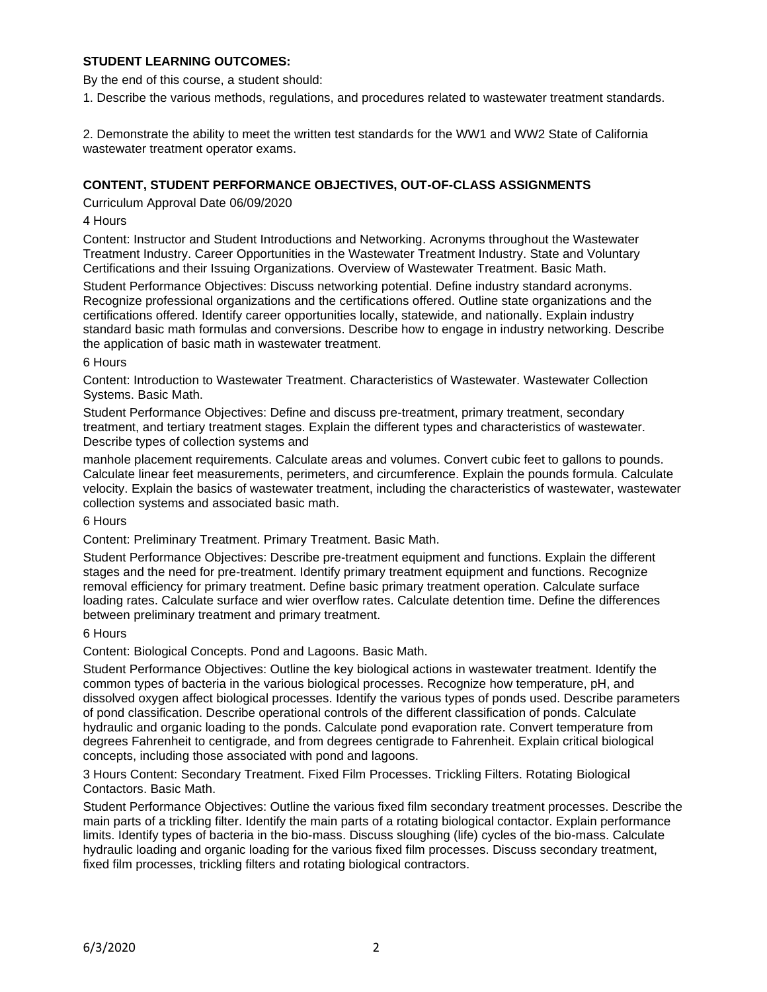# **STUDENT LEARNING OUTCOMES:**

By the end of this course, a student should:

1. Describe the various methods, regulations, and procedures related to wastewater treatment standards.

2. Demonstrate the ability to meet the written test standards for the WW1 and WW2 State of California wastewater treatment operator exams.

# **CONTENT, STUDENT PERFORMANCE OBJECTIVES, OUT-OF-CLASS ASSIGNMENTS**

Curriculum Approval Date 06/09/2020

## 4 Hours

Content: Instructor and Student Introductions and Networking. Acronyms throughout the Wastewater Treatment Industry. Career Opportunities in the Wastewater Treatment Industry. State and Voluntary Certifications and their Issuing Organizations. Overview of Wastewater Treatment. Basic Math.

Student Performance Objectives: Discuss networking potential. Define industry standard acronyms. Recognize professional organizations and the certifications offered. Outline state organizations and the certifications offered. Identify career opportunities locally, statewide, and nationally. Explain industry standard basic math formulas and conversions. Describe how to engage in industry networking. Describe the application of basic math in wastewater treatment.

#### 6 Hours

Content: Introduction to Wastewater Treatment. Characteristics of Wastewater. Wastewater Collection Systems. Basic Math.

Student Performance Objectives: Define and discuss pre-treatment, primary treatment, secondary treatment, and tertiary treatment stages. Explain the different types and characteristics of wastewater. Describe types of collection systems and

manhole placement requirements. Calculate areas and volumes. Convert cubic feet to gallons to pounds. Calculate linear feet measurements, perimeters, and circumference. Explain the pounds formula. Calculate velocity. Explain the basics of wastewater treatment, including the characteristics of wastewater, wastewater collection systems and associated basic math.

#### 6 Hours

Content: Preliminary Treatment. Primary Treatment. Basic Math.

Student Performance Objectives: Describe pre-treatment equipment and functions. Explain the different stages and the need for pre-treatment. Identify primary treatment equipment and functions. Recognize removal efficiency for primary treatment. Define basic primary treatment operation. Calculate surface loading rates. Calculate surface and wier overflow rates. Calculate detention time. Define the differences between preliminary treatment and primary treatment.

#### 6 Hours

Content: Biological Concepts. Pond and Lagoons. Basic Math.

Student Performance Objectives: Outline the key biological actions in wastewater treatment. Identify the common types of bacteria in the various biological processes. Recognize how temperature, pH, and dissolved oxygen affect biological processes. Identify the various types of ponds used. Describe parameters of pond classification. Describe operational controls of the different classification of ponds. Calculate hydraulic and organic loading to the ponds. Calculate pond evaporation rate. Convert temperature from degrees Fahrenheit to centigrade, and from degrees centigrade to Fahrenheit. Explain critical biological concepts, including those associated with pond and lagoons.

3 Hours Content: Secondary Treatment. Fixed Film Processes. Trickling Filters. Rotating Biological Contactors. Basic Math.

Student Performance Objectives: Outline the various fixed film secondary treatment processes. Describe the main parts of a trickling filter. Identify the main parts of a rotating biological contactor. Explain performance limits. Identify types of bacteria in the bio-mass. Discuss sloughing (life) cycles of the bio-mass. Calculate hydraulic loading and organic loading for the various fixed film processes. Discuss secondary treatment, fixed film processes, trickling filters and rotating biological contractors.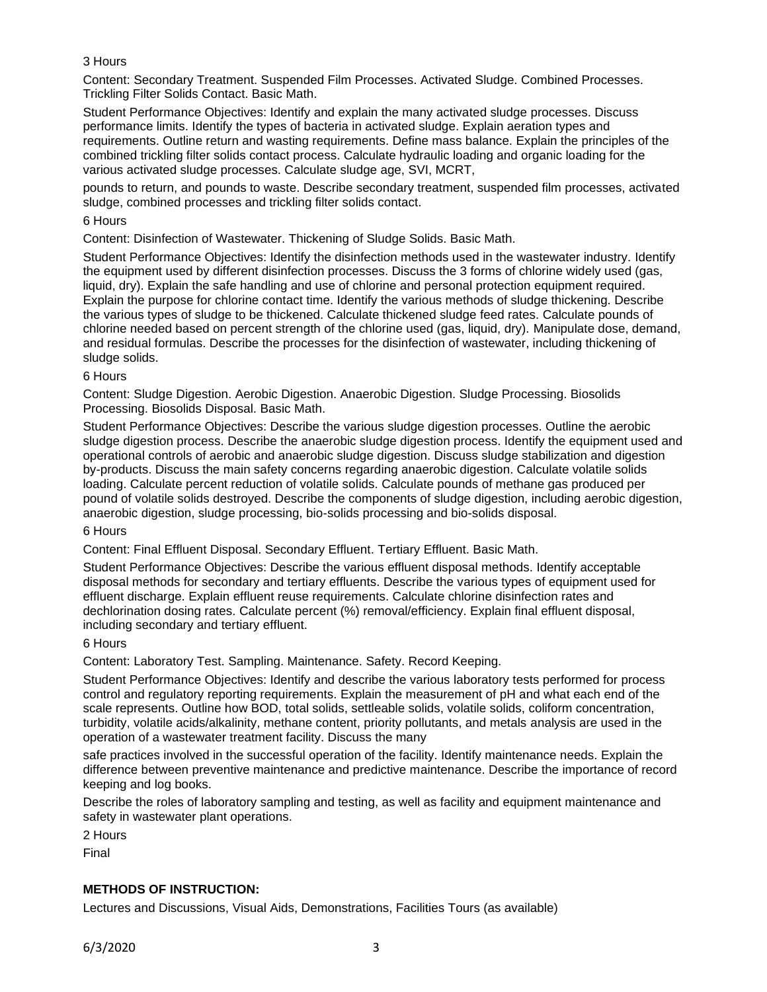3 Hours

Content: Secondary Treatment. Suspended Film Processes. Activated Sludge. Combined Processes. Trickling Filter Solids Contact. Basic Math.

Student Performance Objectives: Identify and explain the many activated sludge processes. Discuss performance limits. Identify the types of bacteria in activated sludge. Explain aeration types and requirements. Outline return and wasting requirements. Define mass balance. Explain the principles of the combined trickling filter solids contact process. Calculate hydraulic loading and organic loading for the various activated sludge processes. Calculate sludge age, SVI, MCRT,

pounds to return, and pounds to waste. Describe secondary treatment, suspended film processes, activated sludge, combined processes and trickling filter solids contact.

6 Hours

Content: Disinfection of Wastewater. Thickening of Sludge Solids. Basic Math.

Student Performance Objectives: Identify the disinfection methods used in the wastewater industry. Identify the equipment used by different disinfection processes. Discuss the 3 forms of chlorine widely used (gas, liquid, dry). Explain the safe handling and use of chlorine and personal protection equipment required. Explain the purpose for chlorine contact time. Identify the various methods of sludge thickening. Describe the various types of sludge to be thickened. Calculate thickened sludge feed rates. Calculate pounds of chlorine needed based on percent strength of the chlorine used (gas, liquid, dry). Manipulate dose, demand, and residual formulas. Describe the processes for the disinfection of wastewater, including thickening of sludge solids.

## 6 Hours

Content: Sludge Digestion. Aerobic Digestion. Anaerobic Digestion. Sludge Processing. Biosolids Processing. Biosolids Disposal. Basic Math.

Student Performance Objectives: Describe the various sludge digestion processes. Outline the aerobic sludge digestion process. Describe the anaerobic sludge digestion process. Identify the equipment used and operational controls of aerobic and anaerobic sludge digestion. Discuss sludge stabilization and digestion by-products. Discuss the main safety concerns regarding anaerobic digestion. Calculate volatile solids loading. Calculate percent reduction of volatile solids. Calculate pounds of methane gas produced per pound of volatile solids destroyed. Describe the components of sludge digestion, including aerobic digestion, anaerobic digestion, sludge processing, bio-solids processing and bio-solids disposal.

#### 6 Hours

Content: Final Effluent Disposal. Secondary Effluent. Tertiary Effluent. Basic Math.

Student Performance Objectives: Describe the various effluent disposal methods. Identify acceptable disposal methods for secondary and tertiary effluents. Describe the various types of equipment used for effluent discharge. Explain effluent reuse requirements. Calculate chlorine disinfection rates and dechlorination dosing rates. Calculate percent (%) removal/efficiency. Explain final effluent disposal, including secondary and tertiary effluent.

# 6 Hours

Content: Laboratory Test. Sampling. Maintenance. Safety. Record Keeping.

Student Performance Objectives: Identify and describe the various laboratory tests performed for process control and regulatory reporting requirements. Explain the measurement of pH and what each end of the scale represents. Outline how BOD, total solids, settleable solids, volatile solids, coliform concentration, turbidity, volatile acids/alkalinity, methane content, priority pollutants, and metals analysis are used in the operation of a wastewater treatment facility. Discuss the many

safe practices involved in the successful operation of the facility. Identify maintenance needs. Explain the difference between preventive maintenance and predictive maintenance. Describe the importance of record keeping and log books.

Describe the roles of laboratory sampling and testing, as well as facility and equipment maintenance and safety in wastewater plant operations.

2 Hours

Final

# **METHODS OF INSTRUCTION:**

Lectures and Discussions, Visual Aids, Demonstrations, Facilities Tours (as available)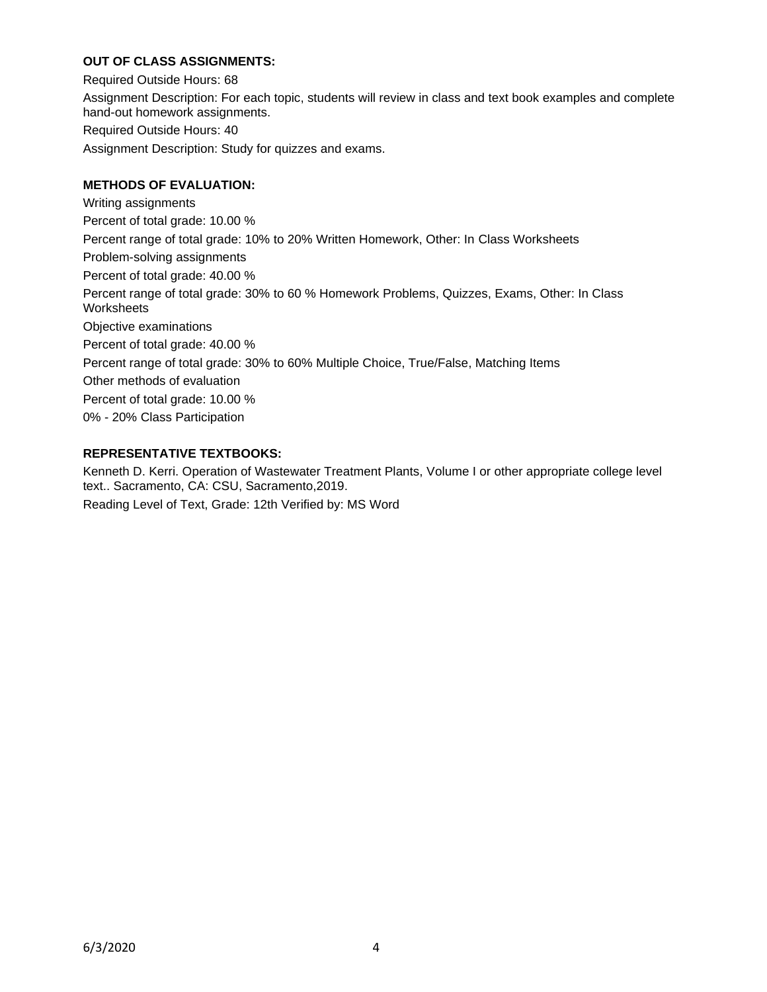# **OUT OF CLASS ASSIGNMENTS:**

Required Outside Hours: 68 Assignment Description: For each topic, students will review in class and text book examples and complete hand-out homework assignments. Required Outside Hours: 40 Assignment Description: Study for quizzes and exams.

# **METHODS OF EVALUATION:**

Writing assignments Percent of total grade: 10.00 % Percent range of total grade: 10% to 20% Written Homework, Other: In Class Worksheets Problem-solving assignments Percent of total grade: 40.00 % Percent range of total grade: 30% to 60 % Homework Problems, Quizzes, Exams, Other: In Class **Worksheets** Objective examinations Percent of total grade: 40.00 % Percent range of total grade: 30% to 60% Multiple Choice, True/False, Matching Items Other methods of evaluation Percent of total grade: 10.00 % 0% - 20% Class Participation

# **REPRESENTATIVE TEXTBOOKS:**

Kenneth D. Kerri. Operation of Wastewater Treatment Plants, Volume I or other appropriate college level text.. Sacramento, CA: CSU, Sacramento,2019.

Reading Level of Text, Grade: 12th Verified by: MS Word